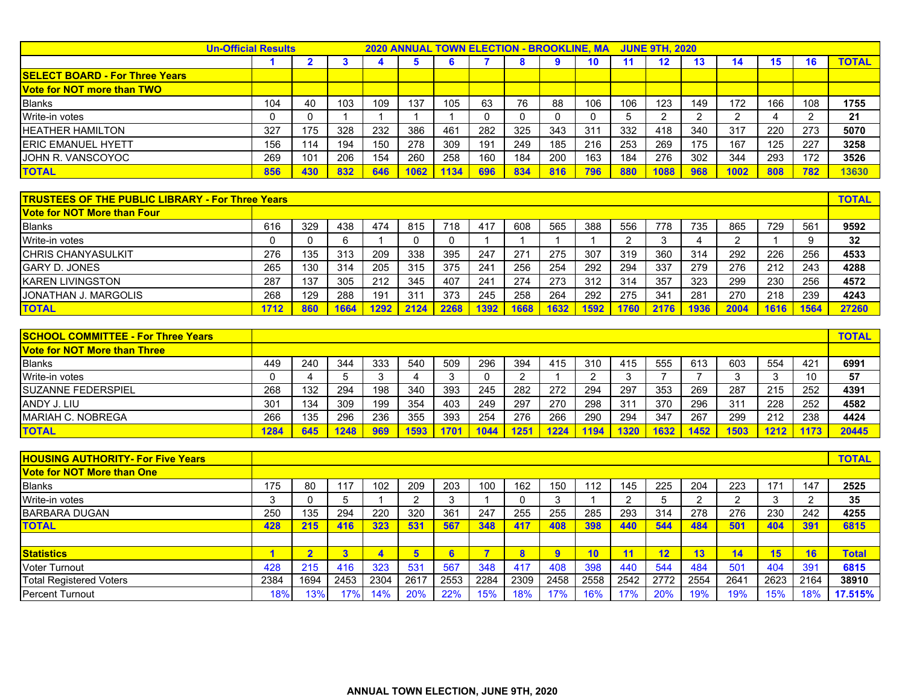|                                       | <b>Un-Official Results</b> |     |     | <b>2020 ANNUAL TOWN ELECTION - BROOKLINE, MA</b><br><b>JUNE 9TH, 2020</b> |      |      |     |     |     |     |     |         |        |      |     |     |              |
|---------------------------------------|----------------------------|-----|-----|---------------------------------------------------------------------------|------|------|-----|-----|-----|-----|-----|---------|--------|------|-----|-----|--------------|
|                                       |                            |     |     |                                                                           | Ð    |      |     |     |     | 10  |     | $12 \,$ | ıэ     | 14   | 15  |     | <b>TOTAL</b> |
| <b>SELECT BOARD - For Three Years</b> |                            |     |     |                                                                           |      |      |     |     |     |     |     |         |        |      |     |     |              |
| <b>Vote for NOT more than TWO</b>     |                            |     |     |                                                                           |      |      |     |     |     |     |     |         |        |      |     |     |              |
| <b>Blanks</b>                         | 104                        | 40  | 103 | 109                                                                       | 137  | 105  | 63  | 76  | 88  | 106 | 106 | 123     | 149    | 172  | 166 | 108 | 1755         |
| Write-in votes                        |                            | 0   |     |                                                                           |      |      |     |     |     |     |     | $\sim$  | $\sim$ |      |     |     | 21           |
| <b>HEATHER HAMILTON</b>               | 327                        | 175 | 328 | 232                                                                       | 386  | 461  | 282 | 325 | 343 | 311 | 332 | 418     | 340    | 317  | 220 | 273 | 5070         |
| <b>IERIC EMANUEL HYETT</b>            | 156                        | 114 | 194 | 150                                                                       | 278  | 309  | 191 | 249 | 185 | 216 | 253 | 269     | 175    | 167  | 125 | 227 | 3258         |
| JOHN R. VANSCOYOC                     | 269                        | 101 | 206 | 154                                                                       | 260  | 258  | 160 | 184 | 200 | 163 | 184 | 276     | 302    | 344  | 293 | 172 | 3526         |
| <b>TOTAL</b>                          | 856                        | 430 | 832 | 646                                                                       | 1062 | 1134 | 696 | 834 | 816 | 796 | 880 | 1088    | 968    | 1002 | 808 | 782 | 13630        |

| <b>TRUSTEES OF THE PUBLIC LIBRARY - For Three Years</b> |      |     |      |      |      |      |      |      |      |      |     |      | <b>TOTAL</b> |      |      |      |       |
|---------------------------------------------------------|------|-----|------|------|------|------|------|------|------|------|-----|------|--------------|------|------|------|-------|
| <b>Vote for NOT More than Four</b>                      |      |     |      |      |      |      |      |      |      |      |     |      |              |      |      |      |       |
| <b>Blanks</b>                                           | 616  | 329 | 438  | 474  | 815  | 718  | 417  | 608  | 565  | 388  | 556 | 778  | 735          | 865  | 729  | 561  | 9592  |
| Write-in votes                                          |      |     | 6    |      |      |      |      |      |      |      |     |      |              |      |      |      | 32    |
| <b>ICHRIS CHANYASULKIT</b>                              | 276  | 135 | 313  | 209  | 338  | 395  | 247  | 271  | 275  | 307  | 319 | 360  | 314          | 292  | 226  | 256  | 4533  |
| <b>GARY D. JONES</b>                                    | 265  | 130 | 314  | 205  | 315  | 375  | 241  | 256  | 254  | 292  | 294 | 337  | 279          | 276  | 212  | 243  | 4288  |
| <b>IKAREN LIVINGSTON</b>                                | 287  | 137 | 305  | 212  | 345  | 407  | 241  | 274  | 273  | 312  | 314 | 357  | 323          | 299  | 230  | 256  | 4572  |
| <b>JONATHAN J. MARGOLIS</b>                             | 268  | 129 | 288  | 191  | 311  | 373  | 245  | 258  | 264  | 292  | 275 | 341  | 281          | 270  | 218  | 239  | 4243  |
| <b>TOTAL</b>                                            | 1712 | 860 | 1664 | 1292 | 2124 | 2268 | 1392 | 1668 | 1632 | 1592 | 760 | 2176 | 1936         | 2004 | 1616 | 1564 | 27260 |

| <b>SCHOOL COMMITTEE - For Three Years</b> |      |     |      |     |      |      |      |      |      |     |      |      |      |      |      |      | <b>TOTAL</b> |
|-------------------------------------------|------|-----|------|-----|------|------|------|------|------|-----|------|------|------|------|------|------|--------------|
| <b>Vote for NOT More than Three</b>       |      |     |      |     |      |      |      |      |      |     |      |      |      |      |      |      |              |
| <b>Blanks</b>                             | 449  | 240 | 344  | 333 | 540  | 509  | 296  | 394  | 415  | 310 | 415  | 555  | 613  | 603  | 554  | 421  | 6991         |
| Write-in votes                            |      |     |      |     |      |      |      |      |      |     |      |      |      |      |      | 10   | -57          |
| <b>ISUZANNE FEDERSPIEL</b>                | 268  | 132 | 294  | 198 | 340  | 393  | 245  | 282  | 272  | 294 | 297  | 353  | 269  | 287  | 215  | 252  | 4391         |
| ANDY J. LIU                               | 301  | 134 | 309  | 199 | 354  | 403  | 249  | 297  | 270  | 298 | 311  | 370  | 296  | 311  | 228  | 252  | 4582         |
| <b>IMARIAH C. NOBREGA</b>                 | 266  | 135 | 296  | 236 | 355  | 393  | 254  | 276  | 266  | 290 | 294  | 347  | 267  | 299  | 212  | 238  | 4424         |
| <b>TOTAL</b>                              | 1284 | 645 | 1248 | 969 | 1593 | 1701 | 1044 | 1251 | 1224 | 194 | 1320 | 1632 | 1452 | 1503 | 1212 | 1171 | 20445        |

| <b>HOUSING AUTHORITY- For Five Years</b> |      |      |      |      |      |                 |      |      |      |      |      |      |      |      |      |      | <b>TOTAL</b> |
|------------------------------------------|------|------|------|------|------|-----------------|------|------|------|------|------|------|------|------|------|------|--------------|
| <b>Vote for NOT More than One</b>        |      |      |      |      |      |                 |      |      |      |      |      |      |      |      |      |      |              |
| <b>Blanks</b>                            | 175  | 80   | 117  | 102  | 209  | 203             | 100  | 162  | 150  | 112  | 145  | 225  | 204  | 223  | 171  | 147  | 2525         |
| Write-in votes                           |      |      | ٠b   |      |      |                 |      |      |      |      |      |      |      |      |      |      | 35           |
| <b>BARBARA DUGAN</b>                     | 250  | 135  | 294  | 220  | 320  | 36 <sup>′</sup> | 247  | 255  | 255  | 285  | 293  | 314  | 278  | 276  | 230  | 242  | 4255         |
| <b>TOTAL</b>                             | 428  | 215  | 416  | 323  | 531  | 567             | 348  | 417  | 408  | 398  | 440  | 544  | 484  | 501  | 404  | 391  | 6815         |
|                                          |      |      |      |      |      |                 |      |      |      |      |      |      |      |      |      |      |              |
| <b>Statistics</b>                        |      |      | 3    |      | 5    |                 |      |      | 9    | 70   |      | 12   | 13   | 14   | 15   | 10   | <b>Total</b> |
| <b>Voter Turnout</b>                     | 428  | 215  | 416  | 323  | 531  | 567             | 348  | 417  | 408  | 398  | 440  | 544  | 484  | 501  | 404  | 391  | 6815         |
| <b>Total Registered Voters</b>           | 2384 | 1694 | 2453 | 2304 | 2617 | 2553            | 2284 | 2309 | 2458 | 2558 | 2542 | 2772 | 2554 | 264' | 2623 | 2164 | 38910        |
| <b>Percent Turnout</b>                   | 18%  | 13%  | 170  | 14%  | 20%  | 22%             | 15%  | 18%  | 17%  | 16%  | 17%  | 20%  | 19%  | 19%  | 15%  | 18%  | 17.515%      |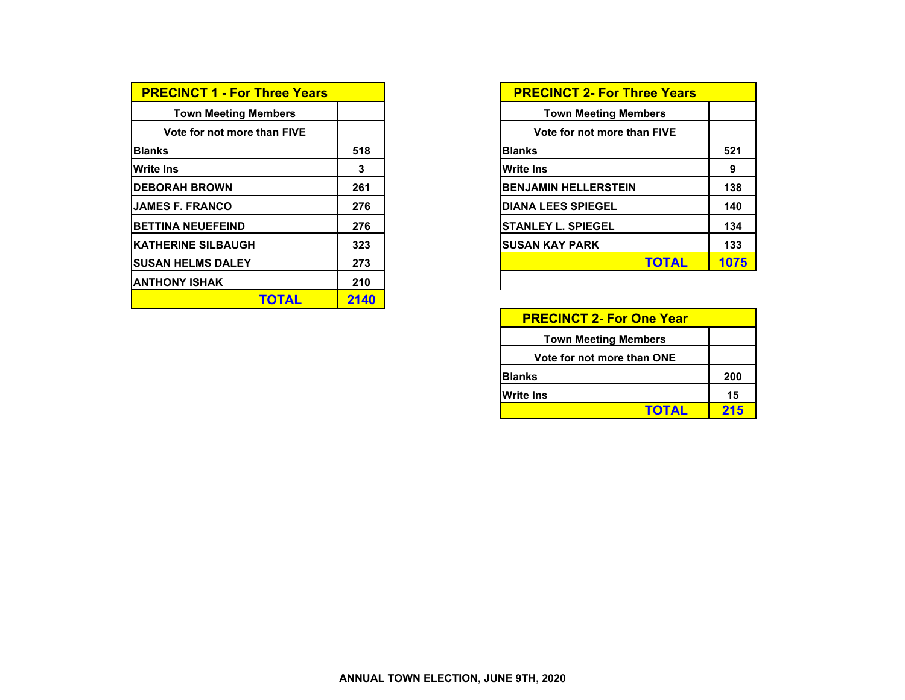| <b>PRECINCT 1 - For Three Years</b> |      | <b>PRECINCT 2- For Three Years</b> |     |
|-------------------------------------|------|------------------------------------|-----|
| <b>Town Meeting Members</b>         |      | <b>Town Meeting Members</b>        |     |
| Vote for not more than FIVE         |      | Vote for not more than FIVE        |     |
| <b>Blanks</b>                       | 518  | <b>Blanks</b>                      |     |
| <b>Write Ins</b>                    | 3    | <b>Write Ins</b>                   |     |
| <b>IDEBORAH BROWN</b>               | 261  | <b>BENJAMIN HELLERSTEIN</b>        |     |
| <b>IJAMES F. FRANCO</b>             | 276  | <b>DIANA LEES SPIEGEL</b>          |     |
| <b>BETTINA NEUEFEIND</b>            | 276  | <b>ISTANLEY L. SPIEGEL</b>         |     |
| <b>IKATHERINE SILBAUGH</b>          | 323  | <b>SUSAN KAY PARK</b>              |     |
| <b>SUSAN HELMS DALEY</b>            | 273  | <b>TOTAL</b>                       | 107 |
| <b>IANTHONY ISHAK</b>               | 210  |                                    |     |
| <b>TOTAL</b>                        | 2140 |                                    |     |

| <b>PRECINCT 1 - For Three Years</b> |     | <b>PRECINCT 2- For Three Years</b> |
|-------------------------------------|-----|------------------------------------|
| <b>Town Meeting Members</b>         |     | <b>Town Meeting Members</b>        |
| Vote for not more than FIVE         |     | Vote for not more than FIVE        |
| Blanks                              | 518 | <b>Blanks</b>                      |
| Write Ins                           | 3   | <b>Write Ins</b>                   |
| <b>DEBORAH BROWN</b>                | 261 | <b>BENJAMIN HELLERSTEIN</b>        |
| JAMES F. FRANCO                     | 276 | <b>DIANA LEES SPIEGEL</b>          |
| <b>BETTINA NEUEFEIND</b>            | 276 | <b>ISTANLEY L. SPIEGEL</b>         |
| <b>KATHERINE SILBAUGH</b>           | 323 | ISUSAN KAY PARK                    |
| SUSAN HELMS DALEY                   | 273 | <b>TOTAL</b>                       |
| ANTHONY ISHAK                       | 210 |                                    |

| <b>PRECINCT 2- For One Year</b> |     |
|---------------------------------|-----|
| <b>Town Meeting Members</b>     |     |
| Vote for not more than ONE      |     |
| <b>Blanks</b>                   | 200 |
| <b>Write Ins</b>                | 15  |
| <b>TOTAL</b>                    | 215 |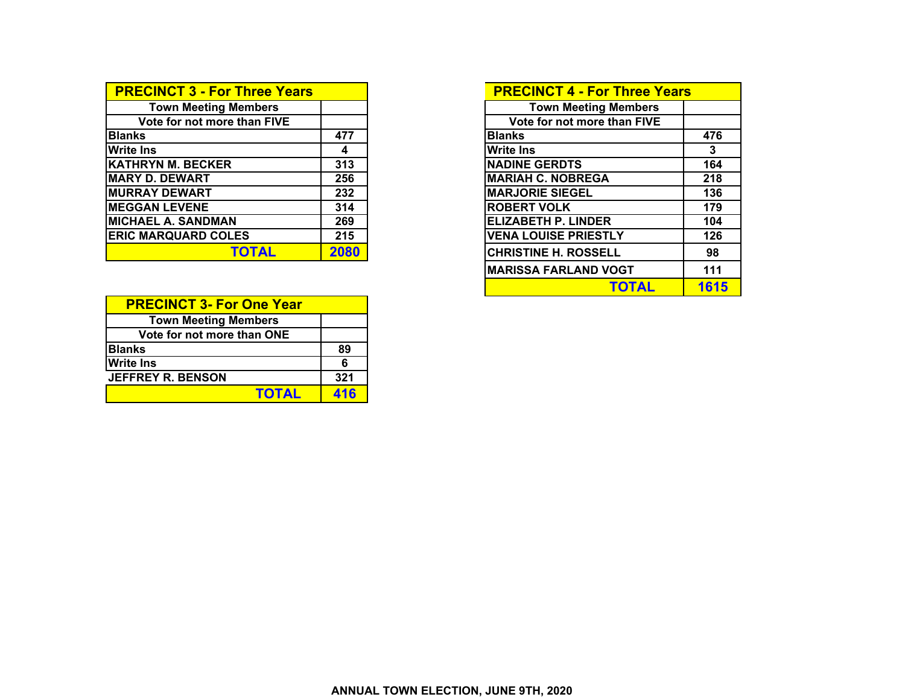| <b>PRECINCT 3 - For Three Years</b> |      | <b>PRECINCT 4 - For Three Years</b> |  |
|-------------------------------------|------|-------------------------------------|--|
| <b>Town Meeting Members</b>         |      | <b>Town Meeting Members</b>         |  |
| Vote for not more than FIVE         |      | Vote for not more than FIVE         |  |
| <b>Blanks</b>                       | 477  | <b>Blanks</b>                       |  |
| <b>Write Ins</b>                    | 4    | <b>Write Ins</b>                    |  |
| <b>KATHRYN M. BECKER</b>            | 313  | <b>NADINE GERDTS</b>                |  |
| <b>MARY D. DEWART</b>               | 256  | <b>MARIAH C. NOBREGA</b>            |  |
| <b>MURRAY DEWART</b>                | 232  | <b>MARJORIE SIEGEL</b>              |  |
| <b>MEGGAN LEVENE</b>                | 314  | <b>ROBERT VOLK</b>                  |  |
| <b>MICHAEL A. SANDMAN</b>           | 269  | <b>ELIZABETH P. LINDER</b>          |  |
| <b>ERIC MARQUARD COLES</b>          | 215  | <b>VENA LOUISE PRIESTLY</b>         |  |
| <b>TOTAL</b>                        | 2080 | <b>CHRISTINE H. ROSSELL</b>         |  |

| <b>PRECINCT 3- For One Year</b> |     |
|---------------------------------|-----|
| <b>Town Meeting Members</b>     |     |
| Vote for not more than ONE      |     |
| <b>Blanks</b>                   | 89  |
| <b>Write Ins</b>                | 6   |
| <b>JEFFREY R. BENSON</b>        | 321 |
| <b>TOTAL</b>                    | 416 |

| <b>PRECINCT 4 - For Three Years</b> |      |
|-------------------------------------|------|
| <b>Town Meeting Members</b>         |      |
| Vote for not more than FIVE         |      |
| <b>Blanks</b>                       | 476  |
| <b>Write Ins</b>                    | 3    |
| <b>NADINE GERDTS</b>                | 164  |
| <b>MARIAH C. NOBREGA</b>            | 218  |
| <b>MARJORIE SIEGEL</b>              | 136  |
| <b>ROBERT VOLK</b>                  | 179  |
| <b>ELIZABETH P. LINDER</b>          | 104  |
| <b>VENA LOUISE PRIESTLY</b>         | 126  |
| <b>CHRISTINE H. ROSSELL</b>         | 98   |
| <b>MARISSA FARLAND VOGT</b>         | 111  |
| TOTAL                               | 1615 |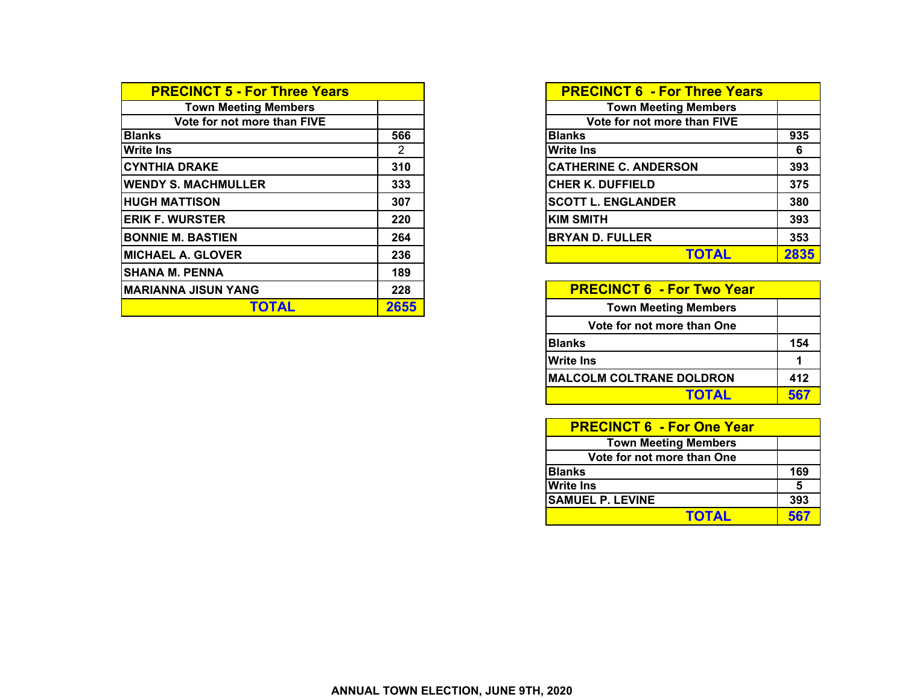| <b>PRECINCT 5 - For Three Years</b> |      | <b>PRECINCT 6 - For Three Years</b> |      |
|-------------------------------------|------|-------------------------------------|------|
| <b>Town Meeting Members</b>         |      | <b>Town Meeting Members</b>         |      |
| Vote for not more than FIVE         |      | Vote for not more than FIVE         |      |
| <b>Blanks</b>                       | 566  | <b>Blanks</b>                       | 935  |
| <b>Write Ins</b>                    | 2    | Write Ins                           | 6    |
| <b>CYNTHIA DRAKE</b>                | 310  | <b>CATHERINE C. ANDERSON</b>        | 393  |
| <b>WENDY S. MACHMULLER</b>          | 333  | <b>CHER K. DUFFIELD</b>             | 375  |
| <b>HUGH MATTISON</b>                | 307  | <b>SCOTT L. ENGLANDER</b>           | 380  |
| <b>ERIK F. WURSTER</b>              | 220  | <b>KIM SMITH</b>                    | 393  |
| <b>BONNIE M. BASTIEN</b>            | 264  | <b>BRYAN D. FULLER</b>              | 353  |
| <b>MICHAEL A. GLOVER</b>            | 236  | <b>TOTAL</b>                        | 2835 |
| <b>SHANA M. PENNA</b>               | 189  |                                     |      |
| <b>MARIANNA JISUN YANG</b>          | 228  | <b>PRECINCT 6 - For Two Year</b>    |      |
| <b>TOTAL</b>                        | 2655 | <b>Town Meeting Members</b>         |      |

|                | <b>PRECINCT 6 - For Three Years</b> |      |
|----------------|-------------------------------------|------|
|                | <b>Town Meeting Members</b>         |      |
|                | Vote for not more than FIVE         |      |
| 66             | <b>Blanks</b>                       | 935  |
| $\overline{2}$ | <b>Write Ins</b>                    | 6    |
| 10             | <b>CATHERINE C. ANDERSON</b>        | 393  |
| 33             | <b>CHER K. DUFFIELD</b>             | 375  |
| 07             | <b>SCOTT L. ENGLANDER</b>           | 380  |
| 20             | <b>KIM SMITH</b>                    | 393  |
| 64             | <b>BRYAN D. FULLER</b>              | 353  |
| 36             | TOTAL                               | 2835 |

| <b>PRECINCT 6 - For Two Year</b> |     |
|----------------------------------|-----|
| <b>Town Meeting Members</b>      |     |
| Vote for not more than One       |     |
| <b>Blanks</b>                    | 154 |
| <b>Write Ins</b>                 | 1   |
| <b>MALCOLM COLTRANE DOLDRON</b>  | 412 |
| <b>TOTAL</b>                     | 567 |

| <b>PRECINCT 6 - For One Year</b> |     |
|----------------------------------|-----|
| <b>Town Meeting Members</b>      |     |
| Vote for not more than One       |     |
| <b>Blanks</b>                    | 169 |
| Write Ins                        | 5   |
| <b>SAMUEL P. LEVINE</b>          | 393 |
| <b>TOTAL</b>                     | 567 |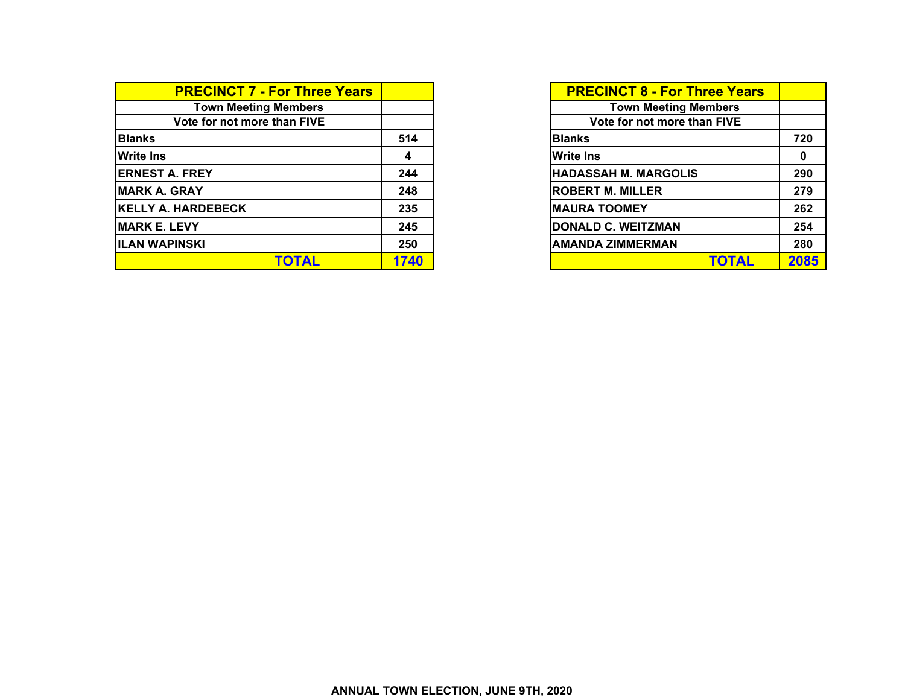| <b>PRECINCT 7 - For Three Years</b> |      | <b>PRECINCT 8 - For Three Years</b> |      |
|-------------------------------------|------|-------------------------------------|------|
| <b>Town Meeting Members</b>         |      | <b>Town Meeting Members</b>         |      |
| Vote for not more than FIVE         |      | Vote for not more than FIVE         |      |
| <b>Blanks</b>                       | 514  | <b>Blanks</b>                       | 720  |
| <b>Write Ins</b>                    |      | <b>Write Ins</b>                    | 0    |
| <b>ERNEST A. FREY</b>               | 244  | <b>HADASSAH M. MARGOLIS</b>         | 290  |
| <b>MARK A. GRAY</b>                 | 248  | <b>ROBERT M. MILLER</b>             | 279  |
| <b>KELLY A. HARDEBECK</b>           | 235  | <b>MAURA TOOMEY</b>                 | 262  |
| <b>MARK E. LEVY</b>                 | 245  | <b>DONALD C. WEITZMAN</b>           | 254  |
| <b>IILAN WAPINSKI</b>               | 250  | <b>AMANDA ZIMMERMAN</b>             | 280  |
| <b>TOTAL</b>                        | 1740 | <b>TOTAL</b>                        | 2085 |

| <b>PRECINCT 8 - For Three Years</b> |      |
|-------------------------------------|------|
| <b>Town Meeting Members</b>         |      |
| Vote for not more than FIVE         |      |
| <b>Blanks</b>                       | 720  |
| <b>Write Ins</b>                    | 0    |
| <b>HADASSAH M. MARGOLIS</b>         | 290  |
| <b>ROBERT M. MILLER</b>             | 279  |
| <b>MAURA TOOMEY</b>                 | 262  |
| <b>DONALD C. WEITZMAN</b>           | 254  |
| <b>AMANDA ZIMMERMAN</b>             | 280  |
| <b>TOTAL</b>                        | 2085 |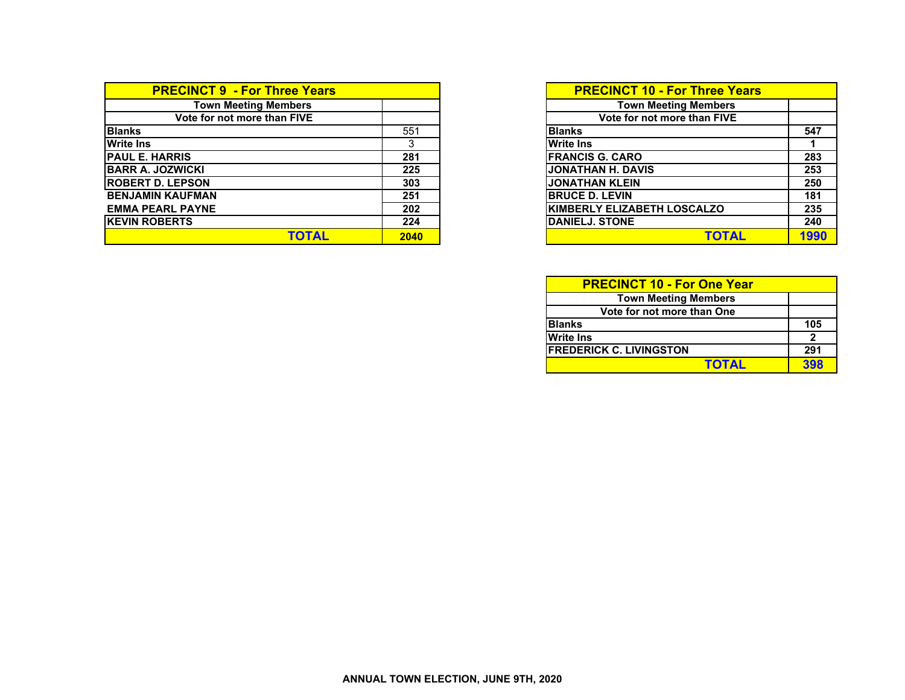| <b>PRECINCT 9 - For Three Years</b> |      | <b>PRECINCT 10 - For Three Years</b> |
|-------------------------------------|------|--------------------------------------|
| <b>Town Meeting Members</b>         |      | <b>Town Meeting Members</b>          |
| Vote for not more than FIVE         |      | Vote for not more than FIVE          |
| <b>Blanks</b>                       | 551  | 547<br><b>Blanks</b>                 |
| <b>Write Ins</b>                    |      | <b>Write Ins</b>                     |
| <b>IPAUL E. HARRIS</b>              | 281  | 283<br><b>IFRANCIS G. CARO</b>       |
| <b>IBARR A. JOZWICKI</b>            | 225  | JONATHAN H. DAVIS<br>253             |
| <b>ROBERT D. LEPSON</b>             | 303  | <b>JONATHAN KLEIN</b><br>250         |
| <b>BENJAMIN KAUFMAN</b>             | 251  | <b>IBRUCE D. LEVIN</b><br>181        |
| <b>EMMA PEARL PAYNE</b>             | 202  | KIMBERLY ELIZABETH LOSCALZO<br>235   |
| <b>IKEVIN ROBERTS</b>               | 224  | <b>DANIELJ. STONE</b><br>240         |
| TOTAL                               | 2040 | 199<br><b>TOTAL</b>                  |

| ırs |      | <b>PRECINCT 10 - For Three Years</b> |      |
|-----|------|--------------------------------------|------|
|     |      | <b>Town Meeting Members</b>          |      |
|     |      | Vote for not more than FIVE          |      |
|     | 551  | <b>Blanks</b>                        | 547  |
|     |      | <b>Write Ins</b>                     |      |
|     | 281  | <b>FRANCIS G. CARO</b>               | 283  |
|     | 225  | <b>JONATHAN H. DAVIS</b>             | 253  |
|     | 303  | <b>JONATHAN KLEIN</b>                | 250  |
|     | 251  | <b>BRUCE D. LEVIN</b>                | 181  |
|     | 202  | <b>KIMBERLY ELIZABETH LOSCALZO</b>   | 235  |
|     | 224  | <b>DANIELJ, STONE</b>                | 240  |
|     | 2040 | <b>TOTAL</b>                         | 1990 |

| <b>PRECINCT 10 - For One Year</b> |     |
|-----------------------------------|-----|
| <b>Town Meeting Members</b>       |     |
| Vote for not more than One        |     |
| <b>Blanks</b>                     | 105 |
| <b>Write Ins</b>                  |     |
| <b>FREDERICK C. LIVINGSTON</b>    | 291 |
| <b>TOTAL</b>                      | 398 |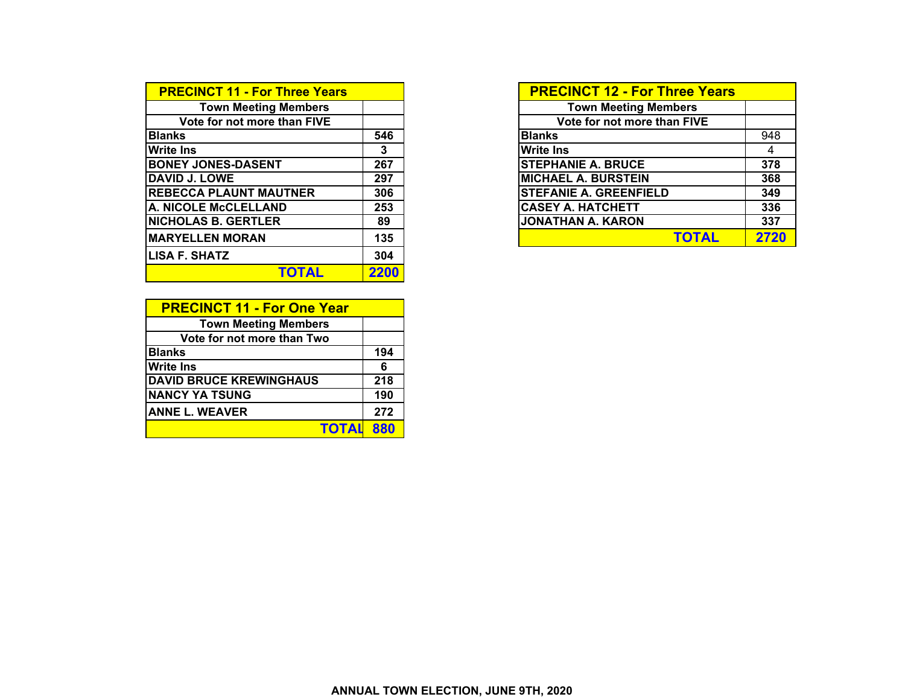| <b>PRECINCT 11 - For Three Years</b> |      | <b>PRECINCT 12 - For Three Years</b> |
|--------------------------------------|------|--------------------------------------|
| <b>Town Meeting Members</b>          |      | <b>Town Meeting Members</b>          |
| Vote for not more than FIVE          |      | Vote for not more than FIVE          |
| <b>Blanks</b>                        | 546  | <b>Blanks</b>                        |
| <b>Write Ins</b>                     | 3    | <b>Write Ins</b>                     |
| <b>BONEY JONES-DASENT</b>            | 267  | <b>STEPHANIE A. BRUCE</b>            |
| <b>DAVID J. LOWE</b>                 | 297  | <b>MICHAEL A. BURSTEIN</b>           |
| <b>REBECCA PLAUNT MAUTNER</b>        | 306  | <b>STEFANIE A. GREENFIELD</b>        |
| A. NICOLE McCLELLAND                 | 253  | <b>CASEY A. HATCHETT</b>             |
| <b>NICHOLAS B. GERTLER</b>           | 89   | <b>JONATHAN A. KARON</b>             |
| <b>MARYELLEN MORAN</b>               | 135  | <b>TOTAL</b>                         |
| <b>LISA F. SHATZ</b>                 | 304  |                                      |
| TOTAL                                | 2200 |                                      |

| <b>PRECINCT 11 - For One Year</b> |     |
|-----------------------------------|-----|
| <b>Town Meeting Members</b>       |     |
| Vote for not more than Two        |     |
| <b>Blanks</b>                     | 194 |
| <b>Write Ins</b>                  | 6   |
| <b>DAVID BRUCE KREWINGHAUS</b>    | 218 |
| <b>NANCY YA TSUNG</b>             | 190 |
| <b>ANNE L. WEAVER</b>             | 272 |
| <b>TOTAL</b>                      | 880 |

| <b>PRECINCT 11 - For Three Years</b> |     | <b>PRECINCT 12 - For Three Years</b> |      |
|--------------------------------------|-----|--------------------------------------|------|
| <b>Town Meeting Members</b>          |     | <b>Town Meeting Members</b>          |      |
| Vote for not more than FIVE          |     | Vote for not more than FIVE          |      |
| <b>Blanks</b>                        | 546 | <b>Blanks</b>                        |      |
| <b>Write Ins</b>                     | 3   | <b>Write Ins</b>                     |      |
| <b>BONEY JONES-DASENT</b>            | 267 | <b>STEPHANIE A. BRUCE</b>            |      |
| <b>DAVID J. LOWE</b>                 | 297 | <b>MICHAEL A. BURSTEIN</b>           |      |
| <b>REBECCA PLAUNT MAUTNER</b>        | 306 | <b>STEFANIE A. GREENFIELD</b>        |      |
| <b>A. NICOLE McCLELLAND</b>          | 253 | <b>CASEY A. HATCHETT</b>             |      |
| <b>NICHOLAS B. GERTLER</b>           | 89  | <b>JONATHAN A. KARON</b>             |      |
| <b>MARYELLEN MORAN</b>               | 135 | TOTAL                                | 2720 |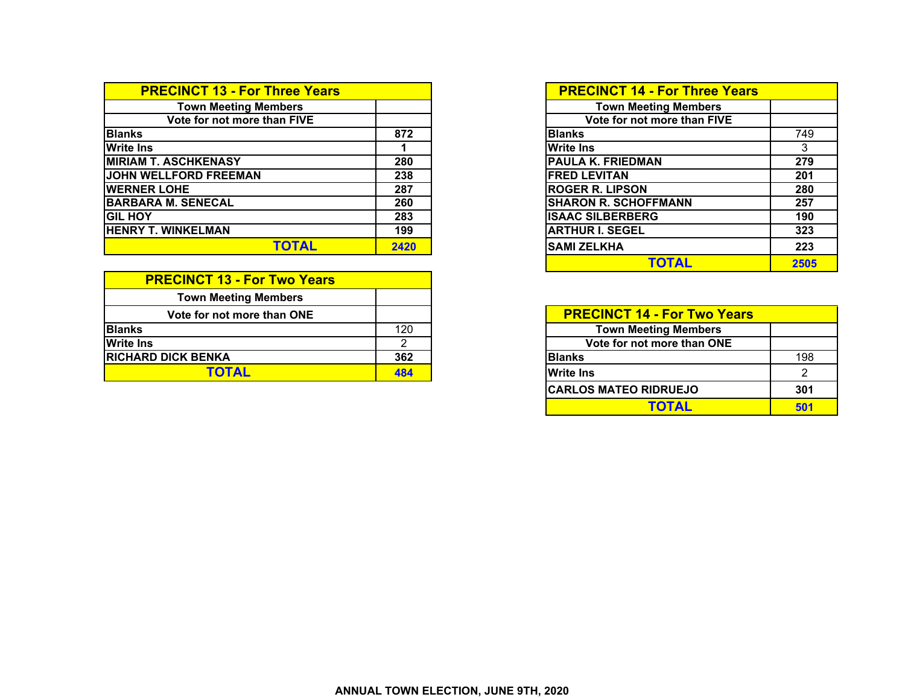| <b>PRECINCT 13 - For Three Years</b> |      | <b>PRECINCT 14 - For Three Years</b> |
|--------------------------------------|------|--------------------------------------|
| <b>Town Meeting Members</b>          |      | <b>Town Meeting Members</b>          |
| Vote for not more than FIVE          |      | Vote for not more than FIVE          |
| <b>Blanks</b>                        | 872  | 749<br><b>Blanks</b>                 |
| <b>Write Ins</b>                     |      | <b>Write Ins</b><br>$\mathbf{3}$     |
| <b>MIRIAM T. ASCHKENASY</b>          | 280  | <b>PAULA K. FRIEDMAN</b><br>279      |
| JOHN WELLFORD FREEMAN                | 238  | <b>IFRED LEVITAN</b><br>201          |
| <b>WERNER LOHE</b>                   | 287  | <b>ROGER R. LIPSON</b><br>280        |
| <b>BARBARA M. SENECAL</b>            | 260  | <b>SHARON R. SCHOFFMANN</b><br>257   |
| <b>GIL HOY</b>                       | 283  | <b>ISAAC SILBERBERG</b><br>190       |
| <b>HENRY T. WINKELMAN</b>            | 199  | <b>ARTHUR I. SEGEL</b><br>323        |
| <b>TOTAL</b>                         | 2420 | 223<br><b>ISAMI ZELKHA</b>           |

| <b>PRECINCT 13 - For Two Years</b> |     |                                    |  |
|------------------------------------|-----|------------------------------------|--|
| <b>Town Meeting Members</b>        |     |                                    |  |
| Vote for not more than ONE         |     | <b>PRECINCT 14 - For Two Years</b> |  |
| <b>Blanks</b>                      | 120 | <b>Town Meeting Members</b>        |  |
| <b>Write Ins</b>                   |     | Vote for not more than ONE         |  |
| <b>IRICHARD DICK BENKA</b>         | 362 | <b>Blanks</b>                      |  |
| TATAI                              | 484 | <b>Write Ins</b>                   |  |

| ears <sup></sup> |      | <b>PRECINCT 14 - For Three Years</b> |      |
|------------------|------|--------------------------------------|------|
|                  |      | <b>Town Meeting Members</b>          |      |
|                  |      | Vote for not more than FIVE          |      |
|                  | 872  | <b>Blanks</b>                        | 749  |
|                  |      | <b>Write Ins</b>                     | 3    |
|                  | 280  | <b>PAULA K. FRIEDMAN</b>             | 279  |
|                  | 238  | <b>FRED LEVITAN</b>                  | 201  |
|                  | 287  | <b>ROGER R. LIPSON</b>               | 280  |
|                  | 260  | <b>SHARON R. SCHOFFMANN</b>          | 257  |
|                  | 283  | <b>ISAAC SILBERBERG</b>              | 190  |
|                  | 199  | <b>ARTHUR I. SEGEL</b>               | 323  |
|                  | 2420 | <b>SAMI ZELKHA</b>                   | 223  |
|                  |      | <b>TOTAL</b>                         | 2505 |

| E |     |                              | <b>PRECINCT 14 - For Two Years</b> |  |  |
|---|-----|------------------------------|------------------------------------|--|--|
|   | 120 | <b>Town Meeting Members</b>  |                                    |  |  |
|   |     | Vote for not more than ONE   |                                    |  |  |
|   | 362 | <b>Blanks</b>                | 198                                |  |  |
|   | 484 | <b>Write Ins</b>             |                                    |  |  |
|   |     | <b>CARLOS MATEO RIDRUEJO</b> | 301                                |  |  |
|   |     | ΤΟΤΑΙ                        | 501                                |  |  |